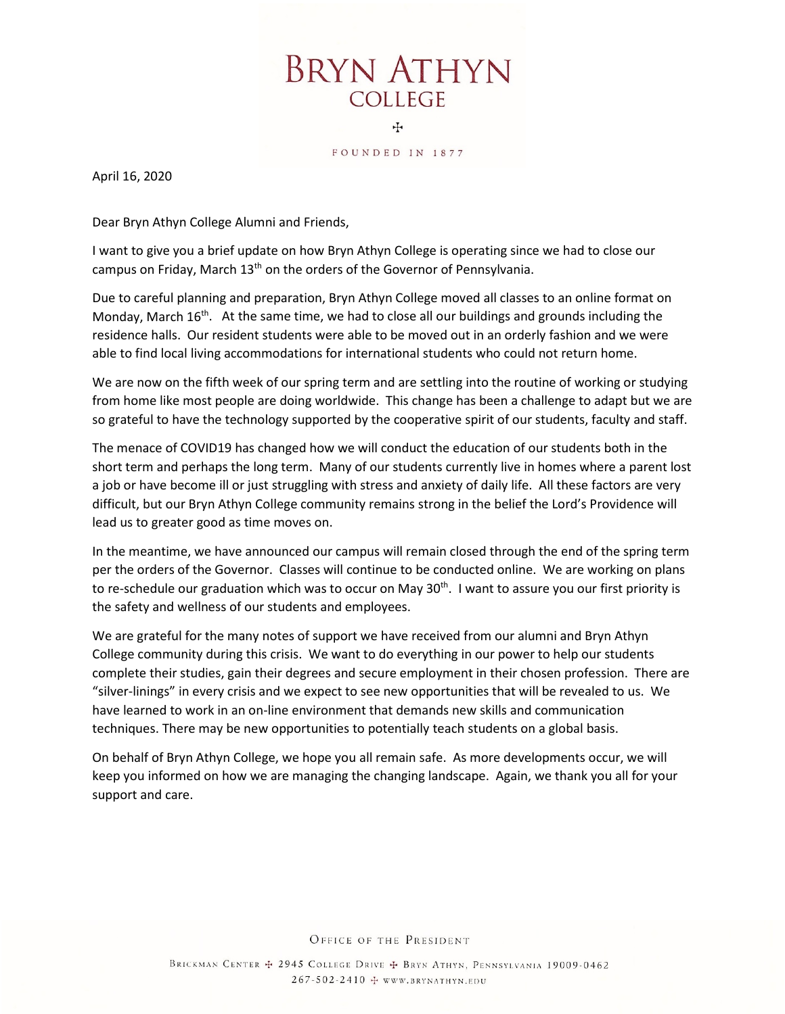**BRYN ATHYN COLLEGE** 4

FOUNDED IN 1877

April 16, 2020

Dear Bryn Athyn College Alumni and Friends,

I want to give you a brief update on how Bryn Athyn College is operating since we had to close our campus on Friday, March 13<sup>th</sup> on the orders of the Governor of Pennsylvania.

Due to careful planning and preparation, Bryn Athyn College moved all classes to an online format on Monday, March 16<sup>th</sup>. At the same time, we had to close all our buildings and grounds including the residence halls. Our resident students were able to be moved out in an orderly fashion and we were able to find local living accommodations for international students who could not return home.

We are now on the fifth week of our spring term and are settling into the routine of working or studying from home like most people are doing worldwide. This change has been a challenge to adapt but we are so grateful to have the technology supported by the cooperative spirit of our students, faculty and staff.

The menace of COVID19 has changed how we will conduct the education of our students both in the short term and perhaps the long term. Many of our students currently live in homes where a parent lost a job or have become ill or just struggling with stress and anxiety of daily life. All these factors are very difficult, but our Bryn Athyn College community remains strong in the belief the Lord's Providence will lead us to greater good as time moves on.

In the meantime, we have announced our campus will remain closed through the end of the spring term per the orders of the Governor. Classes will continue to be conducted online. We are working on plans to re-schedule our graduation which was to occur on May 30<sup>th</sup>. I want to assure you our first priority is the safety and wellness of our students and employees.

We are grateful for the many notes of support we have received from our alumni and Bryn Athyn College community during this crisis. We want to do everything in our power to help our students complete their studies, gain their degrees and secure employment in their chosen profession. There are "silver-linings" in every crisis and we expect to see new opportunities that will be revealed to us. We have learned to work in an on-line environment that demands new skills and communication techniques. There may be new opportunities to potentially teach students on a global basis.

On behalf of Bryn Athyn College, we hope you all remain safe. As more developments occur, we will keep you informed on how we are managing the changing landscape. Again, we thank you all for your support and care.

OFFICE OF THE PRESIDENT